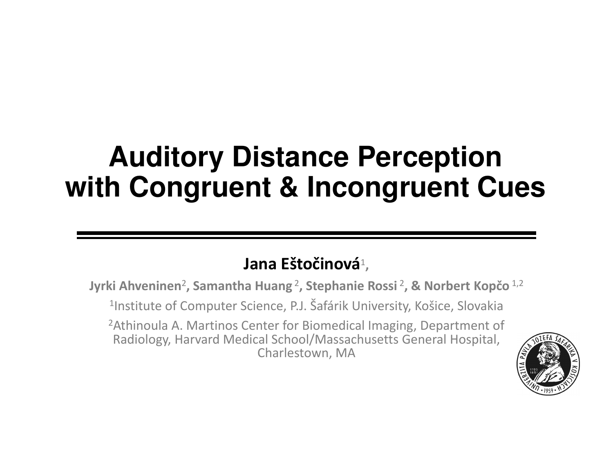#### **Auditory Distance Perception with Congruent & Incongruent Cues**

#### **Jana Eštočinová**<sup>1</sup>**,**

**Jyrki Ahveninen**2**, Samantha Huang** 2**, Stephanie Rossi** 2**, & Norbert Kopčo** 1,2

<sup>1</sup>Institute of Computer Science, P.J. Šafárik University, Košice, Slovakia

<sup>2</sup>Athinoula A. Martinos Center for Biomedical Imaging, Department of Radiology, Harvard Medical School/Massachusetts General Hospital, Charlestown, MA

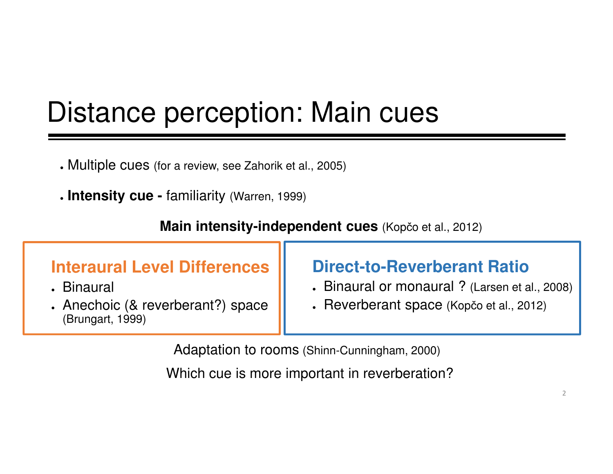#### Distance perception: Main cues

- $\boldsymbol{\cdot}$  Multiple cues (for a review, see Zahorik et al., 2005)
- **Intensity cue -** familiarity (Warren, 1999)

**Main intensity-independent cues** (Kopčo et al., 2012)

| <b>Interaural Level Differences   </b><br>. Binaural<br>• Anechoic (& reverberant?) space<br>(Brungart, 1999) | <b>Direct-to-Reverberant Ratio</b><br>. Binaural or monaural ? (Larsen et al., 2008)<br>· Reverberant space (Kopčo et al., 2012) |
|---------------------------------------------------------------------------------------------------------------|----------------------------------------------------------------------------------------------------------------------------------|
|---------------------------------------------------------------------------------------------------------------|----------------------------------------------------------------------------------------------------------------------------------|

Adaptation to rooms (Shinn-Cunningham, 2000)

Which cue is more important in reverberation?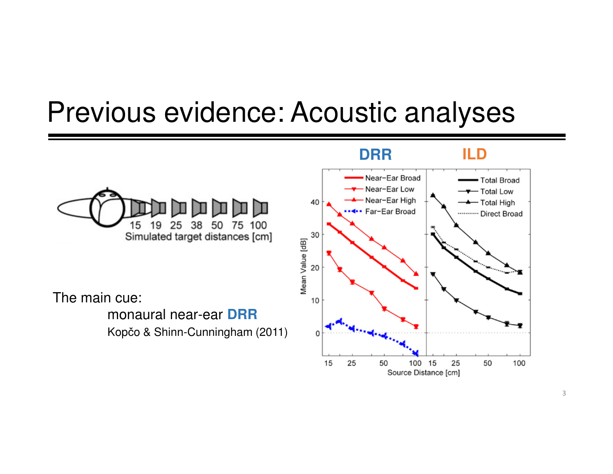#### Previous evidence: Acoustic analyses

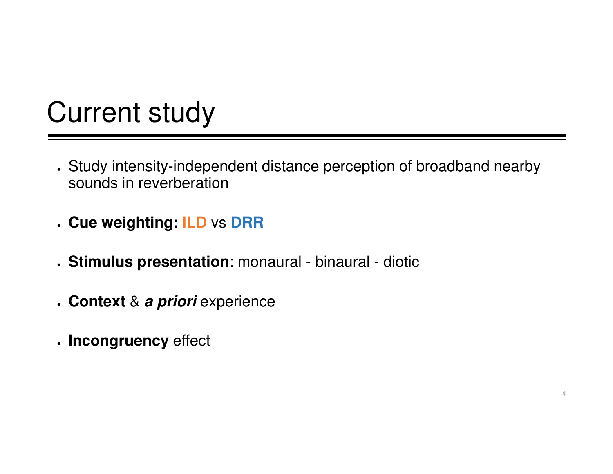#### Current study

- Study intensity-independent distance perception of broadband nearby sounds in reverberation
- **Cue weighting: ILD** vs **DRR**
- **Stimulus presentation**: monaural binaural diotic
- **Context** & **a priori** experience
- **. Incongruency** effect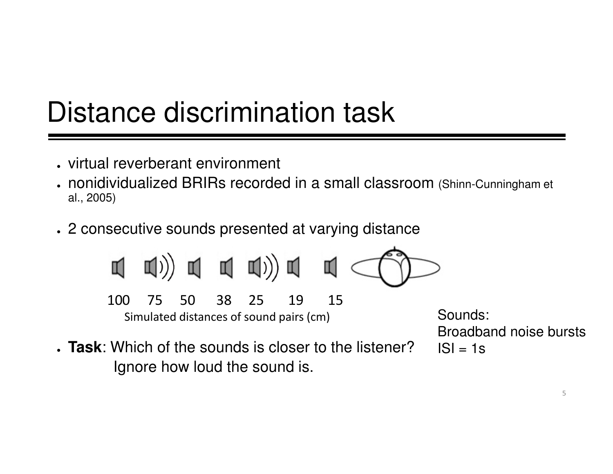#### Distance discrimination task

- $\bm{\cdot}$  virtual reverberant environment
- nonidividualized BRIRs recorded in a small classroom (Shinn-Cunningham et al., 2005) al., 2005)
- $\bm{\cdot}$  2 consecutive sounds presented at varying distance



<sup>100</sup> <sup>75</sup> <sup>50</sup> 38 25 <sup>19</sup> <sup>15</sup>Simulated distances of sound pairs (cm) Sounds:

Broadband noise bursts $ISI = 1s$ 

5

● **Task**: Which of the sounds is closer to the listener?Ignore how loud the sound is.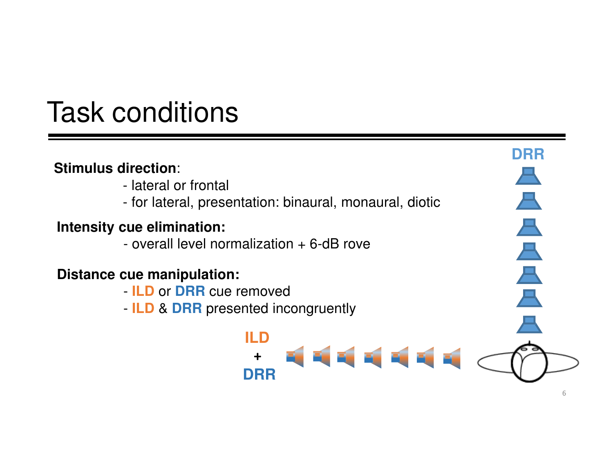#### Task conditions

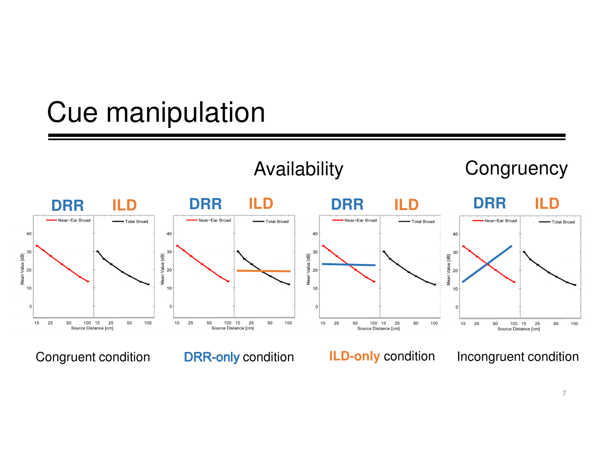#### Cue manipulation

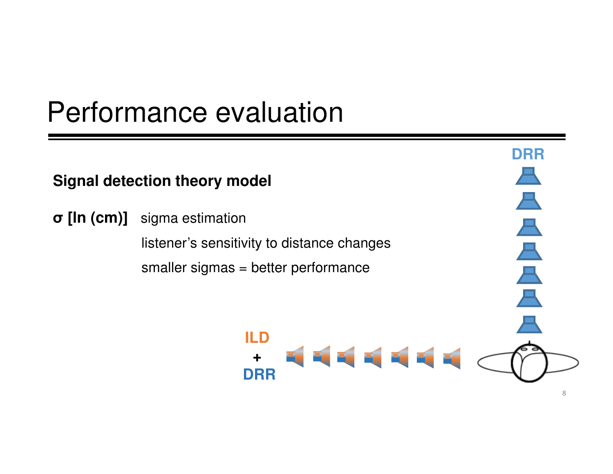#### Performance evaluation

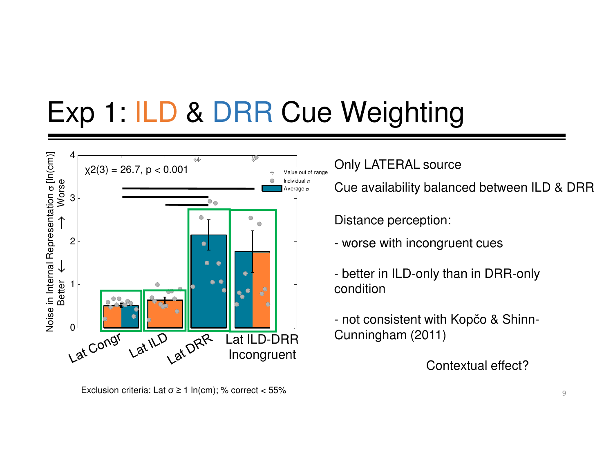# Exp 1: ILD & DRR Cue Weighting



Exclusion criteria: Latσ≥ 1 ln(cm); % correct < 55%

Only LATERAL source

Cue availability balanced between ILD & DRR

Distance perception:

- worse with incongruent cues

- better in ILD-only than in DRR-only condition

- not consistent with Kopčo & Shinn-Cunningham (2011)

Contextual effect?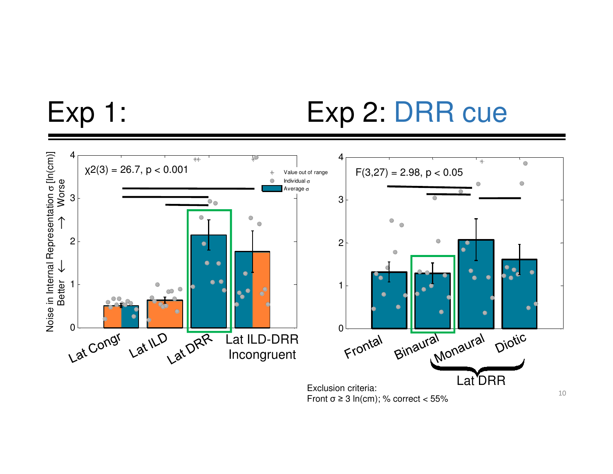#### Exp 1:

## p 1: Exp 2: DRR cue

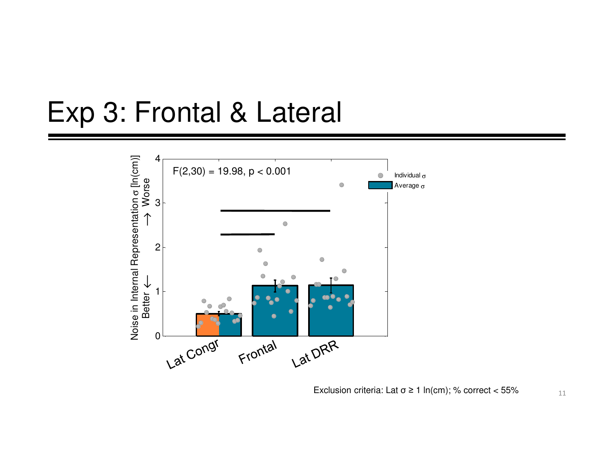### Exp 3: Frontal & Lateral



Exclusion criteria: Lat  $\sigma \ge 1$  ln(cm); % correct < 55%  $_{11}$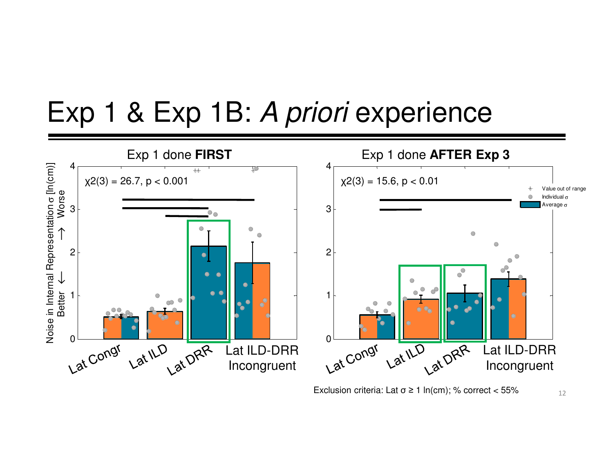



Exclusion criteria: Latσ≥ 1 ln(cm); % correct < 55%

12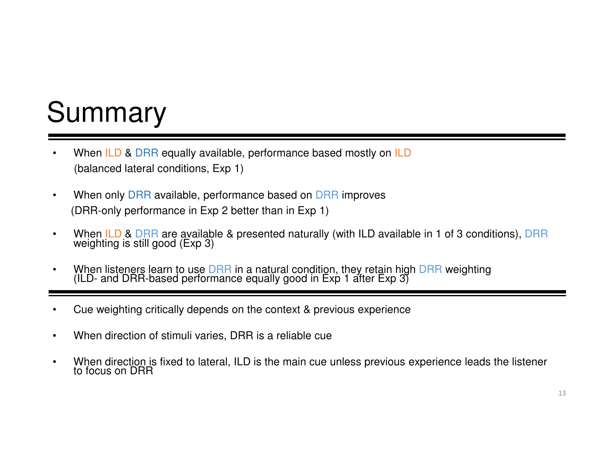### Summary

- •When ILD & DRR equally available, performance based mostly on ILD (balanced lateral conditions, Exp 1)
- •When only DRR available, performance based on DRR improves (DRR-only performance in Exp 2 better than in Exp 1)
- •When ILD & DRR are available & presented naturally (with ILD available in 1 of 3 conditions), DRR weighting is still good (Exp 3)
- •When listeners learn to use DRR in a natural condition, they retain high DRR weighting (ILD- and DRR-based performance equally good in Exp 1 after Exp 3)
- •Cue weighting critically depends on the context & previous experience
- •When direction of stimuli varies, DRR is a reliable cue
- •When direction is fixed to lateral, ILD is the main cue unless previous experience leads the listener to focus on DRR